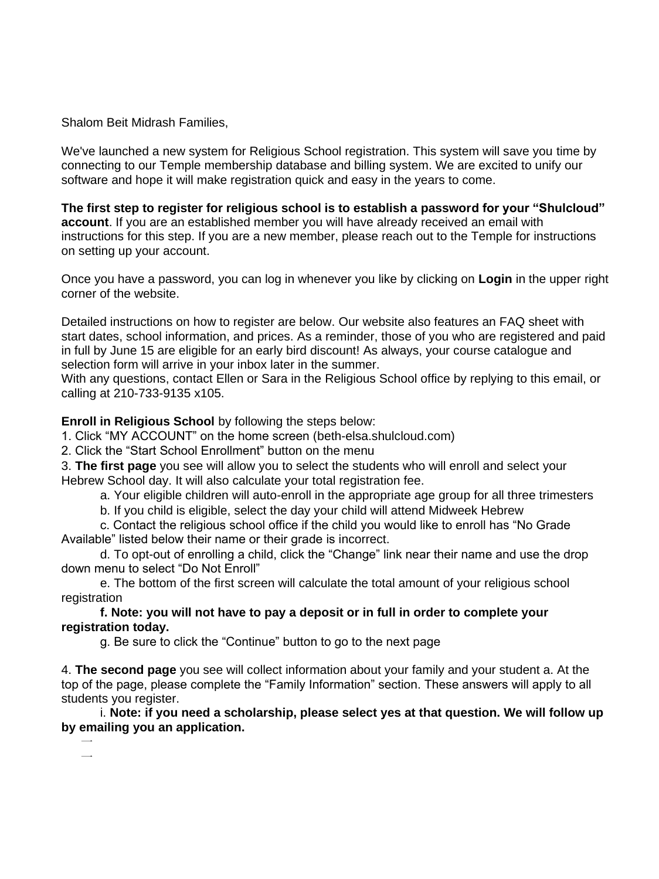Shalom Beit Midrash Families,

We've launched a new system for Religious School registration. This system will save you time by connecting to our Temple membership database and billing system. We are excited to unify our software and hope it will make registration quick and easy in the years to come.

**The first step to register for religious school is to establish a password for your "Shulcloud" account**. If you are an established member you will have already received an email with instructions for this step. If you are a new member, please reach out to the Temple for instructions on setting up your account.

Once you have a password, you can log in whenever you like by clicking on **Login** in the upper right corner of the website.

Detailed instructions on how to register are below. Our website also features an FAQ sheet with start dates, school information, and prices. As a reminder, those of you who are registered and paid in full by June 15 are eligible for an early bird discount! As always, your course catalogue and selection form will arrive in your inbox later in the summer.

With any questions, contact Ellen or Sara in the Religious School office by replying to this email, or calling at 210-733-9135 x105.

**Enroll in Religious School** by following the steps below:

1. Click "MY ACCOUNT" on the home screen (beth-elsa.shulcloud.com)

2. Click the "Start School Enrollment" button on the menu

3. **The first page** you see will allow you to select the students who will enroll and select your Hebrew School day. It will also calculate your total registration fee.

a. Your eligible children will auto-enroll in the appropriate age group for all three trimesters

b. If you child is eligible, select the day your child will attend Midweek Hebrew

c. Contact the religious school office if the child you would like to enroll has "No Grade Available" listed below their name or their grade is incorrect.

d. To opt-out of enrolling a child, click the "Change" link near their name and use the drop down menu to select "Do Not Enroll"

e. The bottom of the first screen will calculate the total amount of your religious school registration

**f. Note: you will not have to pay a deposit or in full in order to complete your registration today.** 

g. Be sure to click the "Continue" button to go to the next page

4. **The second page** you see will collect information about your family and your student a. At the top of the page, please complete the "Family Information" section. These answers will apply to all students you register.

i. **Note: if you need a scholarship, please select yes at that question. We will follow up by emailing you an application.** 

 $\overline{\phantom{0}}$  $\overline{\phantom{0}}$